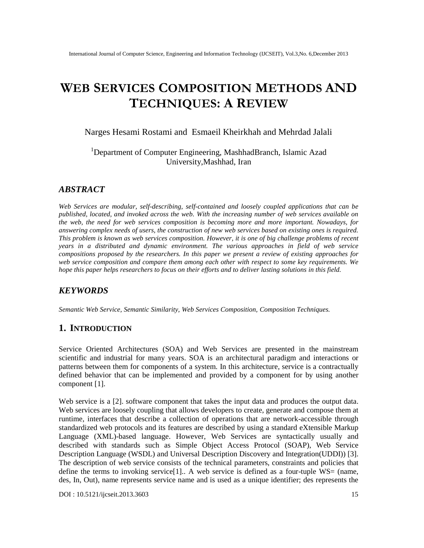# **WEB SERVICES COMPOSITION METHODS AND TECHNIQUES: A REVIEW**

Narges Hesami Rostami and Esmaeil Kheirkhah and Mehrdad Jalali

<sup>1</sup>Department of Computer Engineering, MashhadBranch, Islamic Azad University,Mashhad, Iran

### *ABSTRACT*

*Web Services are modular, self-describing, self-contained and loosely coupled applications that can be published, located, and invoked across the web. With the increasing number of web services available on the web, the need for web services composition is becoming more and more important. Nowadays, for answering complex needs of users, the construction of new web services based on existing ones is required. This problem is known as web services composition. However, it is one of big challenge problems of recent years in a distributed and dynamic environment. The various approaches in field of web service compositions proposed by the researchers. In this paper we present a review of existing approaches for web service composition and compare them among each other with respect to some key requirements. We hope this paper helps researchers to focus on their efforts and to deliver lasting solutions in this field.*

## *KEYWORDS*

*Semantic Web Service, Semantic Similarity, Web Services Composition, Composition Techniques.*

## **1. INTRODUCTION**

Service Oriented Architectures (SOA) and Web Services are presented in the mainstream scientific and industrial for many years. SOA is an architectural paradigm and interactions or patterns between them for components of a system. In this architecture, service is a contractually defined behavior that can be implemented and provided by a component for by using another component [1].

Web service is a [2]. software component that takes the input data and produces the output data. Web services are loosely coupling that allows developers to create, generate and compose them at runtime, interfaces that describe a collection of operations that are network-accessible through standardized web protocols and its features are described by using a standard eXtensible Markup Language (XML)-based language. However, Web Services are syntactically usually and described with standards such as Simple Object Access Protocol (SOAP), Web Service Description Language (WSDL) and Universal Description Discovery and Integration(UDDI)) [3]. The description of web service consists of the technical parameters, constraints and policies that define the terms to invoking service[1].. A web service is defined as a four-tuple WS= (name, des, In, Out), name represents service name and is used as a unique identifier; des represents the

DOI : 10.5121/ijcseit.2013.3603 15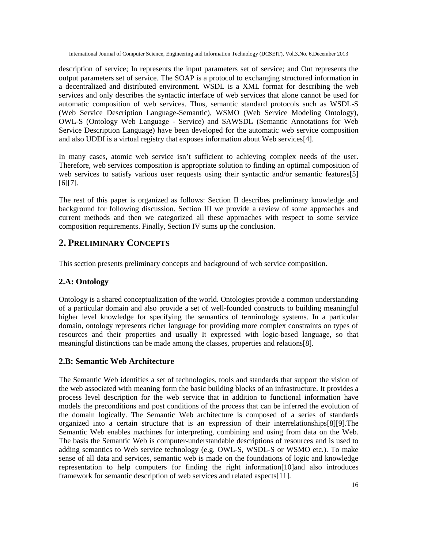description of service; In represents the input parameters set of service; and Out represents the output parameters set of service. The SOAP is a protocol to exchanging structured information in a decentralized and distributed environment. WSDL is a XML format for describing the web services and only describes the syntactic interface of web services that alone cannot be used for automatic composition of web services. Thus, semantic standard protocols such as WSDL-S (Web Service Description Language-Semantic), WSMO (Web Service Modeling Ontology), OWL-S (Ontology Web Language - Service) and SAWSDL (Semantic Annotations for Web Service Description Language) have been developed for the automatic web service composition and also UDDI is a virtual registry that exposes information about Web services[4].

In many cases, atomic web service isn't sufficient to achieving complex needs of the user. Therefore, web services composition is appropriate solution to finding an optimal composition of web services to satisfy various user requests using their syntactic and/or semantic features[5] [6][7].

The rest of this paper is organized as follows: Section II describes preliminary knowledge and background for following discussion. Section III we provide a review of some approaches and current methods and then we categorized all these approaches with respect to some service composition requirements. Finally, Section IV sums up the conclusion.

# **2. PRELIMINARY CONCEPTS**

This section presents preliminary concepts and background of web service composition.

## **2.A: Ontology**

Ontology is a shared conceptualization of the world. Ontologies provide a common understanding of a particular domain and also provide a set of well-founded constructs to building meaningful higher level knowledge for specifying the semantics of terminology systems. In a particular domain, ontology represents richer language for providing more complex constraints on types of resources and their properties and usually It expressed with logic-based language, so that meaningful distinctions can be made among the classes, properties and relations[8].

## **2.B: Semantic Web Architecture**

The Semantic Web identifies a set of technologies, tools and standards that support the vision of the web associated with meaning form the basic building blocks of an infrastructure. It provides a process level description for the web service that in addition to functional information have models the preconditions and post conditions of the process that can be inferred the evolution of the domain logically. The Semantic Web architecture is composed of a series of standards organized into a certain structure that is an expression of their interrelationships[8][9].The Semantic Web enables machines for interpreting, combining and using from data on the Web. The basis the Semantic Web is computer-understandable descriptions of resources and is used to adding semantics to Web service technology (e.g. OWL-S, WSDL-S or WSMO etc.). To make sense of all data and services, semantic web is made on the foundations of logic and knowledge representation to help computers for finding the right information[10]and also introduces framework for semantic description of web services and related aspects[11].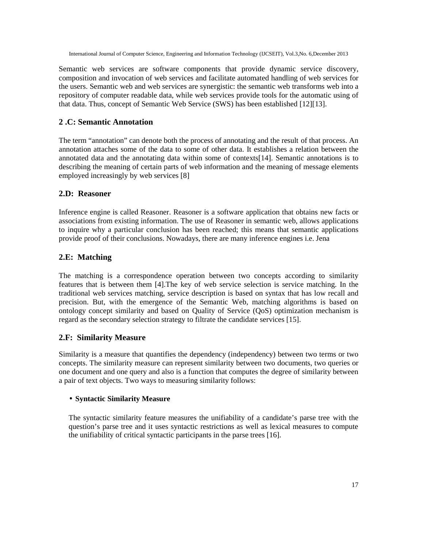Semantic web services are software components that provide dynamic service discovery, composition and invocation of web services and facilitate automated handling of web services for the users. Semantic web and web services are synergistic: the semantic web transforms web into a repository of computer readable data, while web services provide tools for the automatic using of that data. Thus, concept of Semantic Web Service (SWS) has been established [12][13].

#### **2 .C: Semantic Annotation**

The term "annotation" can denote both the process of annotating and the result of that process. An annotation attaches some of the data to some of other data. It establishes a relation between the annotated data and the annotating data within some of contexts[14]. Semantic annotations is to describing the meaning of certain parts of web information and the meaning of message elements employed increasingly by web services [8]

### **2.D: Reasoner**

Inference engine is called Reasoner. Reasoner is a software application that obtains new facts or associations from existing information. The use of Reasoner in semantic web, allows applications to inquire why a particular conclusion has been reached; this means that semantic applications provide proof of their conclusions. Nowadays, there are many inference engines i.e. Jena

#### **2.E: Matching**

The matching is a correspondence operation between two concepts according to similarity features that is between them [4].The key of web service selection is service matching. In the traditional web services matching, service description is based on syntax that has low recall and precision. But, with the emergence of the Semantic Web, matching algorithms is based on ontology concept similarity and based on Quality of Service (QoS) optimization mechanism is regard as the secondary selection strategy to filtrate the candidate services [15].

#### **2.F: Similarity Measure**

Similarity is a measure that quantifies the dependency (independency) between two terms or two concepts. The similarity measure can represent similarity between two documents, two queries or one document and one query and also is a function that computes the degree of similarity between a pair of text objects. Two ways to measuring similarity follows:

#### • **Syntactic Similarity Measure**

The syntactic similarity feature measures the unifiability of a candidate's parse tree with the question's parse tree and it uses syntactic restrictions as well as lexical measures to compute the unifiability of critical syntactic participants in the parse trees [16].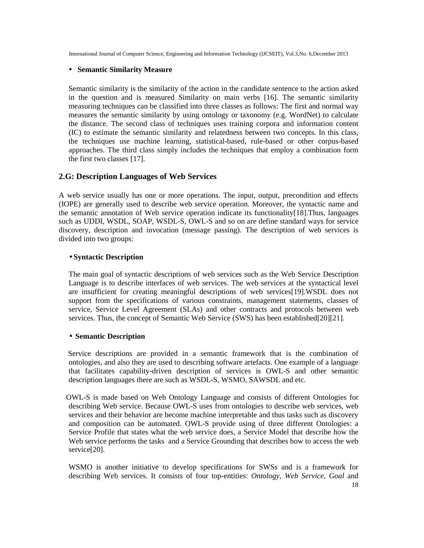#### • **Semantic Similarity Measure**

Semantic similarity is the similarity of the action in the candidate sentence to the action asked in the question and is measured Similarity on main verbs [16]. The semantic similarity measuring techniques can be classified into three classes as follows: The first and normal way measures the semantic similarity by using ontology or taxonomy (e.g. WordNet) to calculate the distance. The second class of techniques uses training corpora and information content (IC) to estimate the semantic similarity and relatedness between two concepts. In this class, the techniques use machine learning, statistical-based, rule-based or other corpus-based approaches. The third class simply includes the techniques that employ a combination form the first two classes [17].

### **2.G: Description Languages of Web Services**

A web service usually has one or more operations. The input, output, precondition and effects (IOPE) are generally used to describe web service operation. Moreover, the syntactic name and the semantic annotation of Web service operation indicate its functionality[18].Thus, languages such as UDDI, WSDL, SOAP, WSDL-S, OWL-S and so on are define standard ways for service discovery, description and invocation (message passing). The description of web services is divided into two groups:

#### • **Syntactic Description**

The main goal of syntactic descriptions of web services such as the Web Service Description Language is to describe interfaces of web services. The web services at the syntactical level are insufficient for creating meaningful descriptions of web services[19].WSDL does not support from the specifications of various constraints, management statements, classes of service, Service Level Agreement (SLAs) and other contracts and protocols between web services. Thus, the concept of Semantic Web Service (SWS) has been established[20][21].

#### • **Semantic Description**

Service descriptions are provided in a semantic framework that is the combination of ontologies, and also they are used to describing software artefacts. One example of a language that facilitates capability-driven description of services is OWL-S and other semantic description languages there are such as WSDL-S, WSMO, SAWSDL and etc.

OWL-S is made based on Web Ontology Language and consists of different Ontologies for describing Web service. Because OWL-S uses from ontologies to describe web services, web services and their behavior are become machine interpretable and thus tasks such as discovery and composition can be automated. OWL-S provide using of three different Ontologies: a Service Profile that states what the web service does, a Service Model that describe how the Web service performs the tasks and a Service Grounding that describes how to access the web service[20].

WSMO is another initiative to develop specifications for SWSs and is a framework for describing Web services. It consists of four top-entities: *Ontology*, *Web Service*, *Goal* and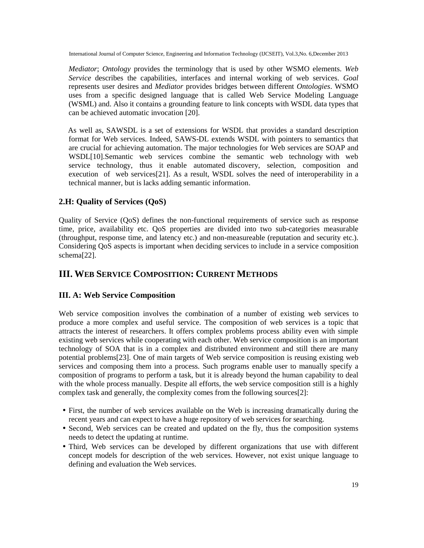*Mediator*; *Ontology* provides the terminology that is used by other WSMO elements. *Web Service* describes the capabilities, interfaces and internal working of web services. *Goal* represents user desires and *Mediator* provides bridges between different *Ontologies*. WSMO uses from a specific designed language that is called Web Service Modeling Language (WSML) and. Also it contains a grounding feature to link concepts with WSDL data types that can be achieved automatic invocation [20].

As well as, SAWSDL is a set of extensions for WSDL that provides a standard description format for Web services. Indeed, SAWS-DL extends WSDL with pointers to semantics that are crucial for achieving automation. The major technologies for Web services are SOAP and WSDL[10].Semantic web services combine the semantic web technology with web service technology, thus it enable automated discovery, selection, composition and execution of web services[21]. As a result, WSDL solves the need of interoperability in a technical manner, but is lacks adding semantic information.

# **2.H: Quality of Services (QoS)**

Quality of Service (QoS) defines the non-functional requirements of service such as response time, price, availability etc. QoS properties are divided into two sub-categories measurable (throughput, response time, and latency etc.) and non-measureable (reputation and security etc.). Considering QoS aspects is important when deciding services to include in a service composition schema[22].

# **III. WEB SERVICE COMPOSITION: CURRENT METHODS**

## **III. A: Web Service Composition**

Web service composition involves the combination of a number of existing web services to produce a more complex and useful service. The composition of web services is a topic that attracts the interest of researchers. It offers complex problems process ability even with simple existing web services while cooperating with each other. Web service composition is an important technology of SOA that is in a complex and distributed environment and still there are many potential problems[23]. One of main targets of Web service composition is reusing existing web services and composing them into a process. Such programs enable user to manually specify a composition of programs to perform a task, but it is already beyond the human capability to deal with the whole process manually. Despite all efforts, the web service composition still is a highly complex task and generally, the complexity comes from the following sources[2]:

- First, the number of web services available on the Web is increasing dramatically during the recent years and can expect to have a huge repository of web services for searching.
- Second, Web services can be created and updated on the fly, thus the composition systems needs to detect the updating at runtime.
- Third, Web services can be developed by different organizations that use with different concept models for description of the web services. However, not exist unique language to defining and evaluation the Web services.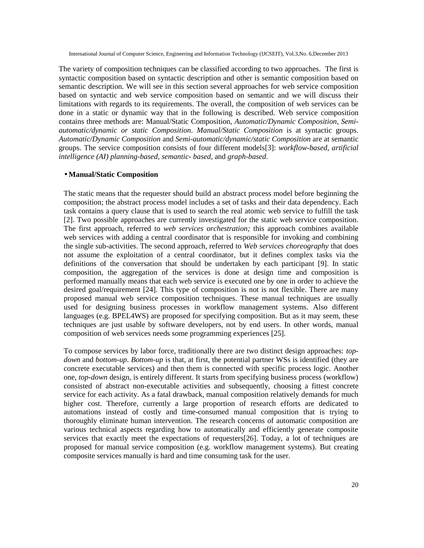The variety of composition techniques can be classified according to two approaches. The first is syntactic composition based on syntactic description and other is semantic composition based on semantic description. We will see in this section several approaches for web service composition based on syntactic and web service composition based on semantic and we will discuss their limitations with regards to its requirements. The overall, the composition of web services can be done in a static or dynamic way that in the following is described. Web service composition contains three methods are: Manual/Static Composition, *Automatic/Dynamic Composition*, *Semiautomatic/dynamic or static Composition*. *Manual/Static Composition* is at syntactic groups. *Automatic/Dynamic Composition* and *Semi-automatic/dynamic/static Composition* are at semantic groups. The service composition consists of four different models[3]: *workflow-based*, *artificial intelligence (AI) planning-based*, *semantic- based*, and *graph-based*.

#### • **Manual/Static Composition**

The static means that the requester should build an abstract process model before beginning the composition; the abstract process model includes a set of tasks and their data dependency. Each task contains a query clause that is used to search the real atomic web service to fulfill the task [2]. Two possible approaches are currently investigated for the static web service composition. The first approach, referred to *web services orchestration;* this approach combines available web services with adding a central coordinator that is responsible for invoking and combining the single sub-activities. The second approach, referred to *Web services choreography* that does not assume the exploitation of a central coordinator, but it defines complex tasks via the definitions of the conversation that should be undertaken by each participant [9]. In static composition, the aggregation of the services is done at design time and composition is performed manually means that each web service is executed one by one in order to achieve the desired goal/requirement [24]. This type of composition is not is not flexible. There are many proposed manual web service composition techniques. These manual techniques are usually used for designing business processes in workflow management systems. Also different languages (e.g. BPEL4WS) are proposed for specifying composition. But as it may seem, these techniques are just usable by software developers, not by end users. In other words, manual composition of web services needs some programming experiences [25].

To compose services by labor force, traditionally there are two distinct design approaches: *topdown* and *bottom-up*. *Bottom-up* is that, at first, the potential partner WSs is identified (they are concrete executable services) and then them is connected with specific process logic. Another one, *top-down* design, is entirely different. It starts from specifying business process (workflow) consisted of abstract non-executable activities and subsequently, choosing a fittest concrete service for each activity. As a fatal drawback, manual composition relatively demands for much higher cost. Therefore, currently a large proportion of research efforts are dedicated to automations instead of costly and time-consumed manual composition that is trying to thoroughly eliminate human intervention. The research concerns of automatic composition are various technical aspects regarding how to automatically and efficiently generate composite services that exactly meet the expectations of requesters[26]. Today, a lot of techniques are proposed for manual service composition (e.g. workflow management systems). But creating composite services manually is hard and time consuming task for the user.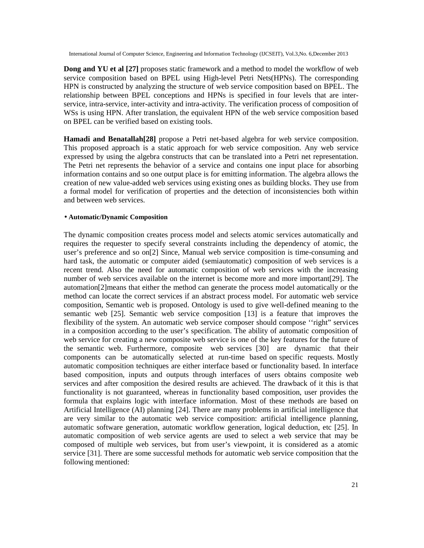**Dong and YU et al [27]** proposes static framework and a method to model the workflow of web service composition based on BPEL using High-level Petri Nets(HPNs). The corresponding HPN is constructed by analyzing the structure of web service composition based on BPEL. The relationship between BPEL conceptions and HPNs is specified in four levels that are interservice, intra-service, inter-activity and intra-activity. The verification process of composition of WSs is using HPN. After translation, the equivalent HPN of the web service composition based on BPEL can be verified based on existing tools.

**Hamadi and Benatallah[28]** propose a Petri net-based algebra for web service composition. This proposed approach is a static approach for web service composition. Any web service expressed by using the algebra constructs that can be translated into a Petri net representation. The Petri net represents the behavior of a service and contains one input place for absorbing information contains and so one output place is for emitting information. The algebra allows the creation of new value-added web services using existing ones as building blocks. They use from a formal model for verification of properties and the detection of inconsistencies both within and between web services.

#### • **Automatic/Dynamic Composition**

The dynamic composition creates process model and selects atomic services automatically and requires the requester to specify several constraints including the dependency of atomic, the user's preference and so on[2] Since, Manual web service composition is time-consuming and hard task, the automatic or computer aided (semiautomatic) composition of web services is a recent trend. Also the need for automatic composition of web services with the increasing number of web services available on the internet is become more and more important[29]. The automation[2]means that either the method can generate the process model automatically or the method can locate the correct services if an abstract process model. For automatic web service composition, Semantic web is proposed. Ontology is used to give well-defined meaning to the semantic web [25]. Semantic web service composition [13] is a feature that improves the flexibility of the system. An automatic web service composer should compose ''right" services in a composition according to the user's specification. The ability of automatic composition of web service for creating a new composite web service is one of the key features for the future of the semantic web. Furthermore, composite web services [30] are dynamic that their components can be automatically selected at run-time based on specific requests. Mostly automatic composition techniques are either interface based or functionality based. In interface based composition, inputs and outputs through interfaces of users obtains composite web services and after composition the desired results are achieved. The drawback of it this is that functionality is not guaranteed, whereas in functionality based composition, user provides the formula that explains logic with interface information. Most of these methods are based on Artificial Intelligence (AI) planning [24]. There are many problems in artificial intelligence that are very similar to the automatic web service composition: artificial intelligence planning, automatic software generation, automatic workflow generation, logical deduction, etc [25]. In automatic composition of web service agents are used to select a web service that may be composed of multiple web services, but from user's viewpoint, it is considered as a atomic service [31]. There are some successful methods for automatic web service composition that the following mentioned: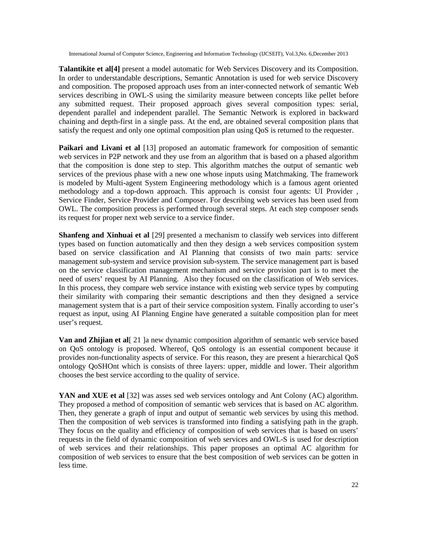**Talantikite et al[4]** present a model automatic for Web Services Discovery and its Composition. In order to understandable descriptions, Semantic Annotation is used for web service Discovery and composition. The proposed approach uses from an inter-connected network of semantic Web services describing in OWL-S using the similarity measure between concepts like pellet before any submitted request. Their proposed approach gives several composition types: serial, dependent parallel and independent parallel. The Semantic Network is explored in backward chaining and depth-first in a single pass. At the end, are obtained several composition plans that satisfy the request and only one optimal composition plan using QoS is returned to the requester.

**Paikari and Livani et al** [13] proposed an automatic framework for composition of semantic web services in P2P network and they use from an algorithm that is based on a phased algorithm that the composition is done step to step. This algorithm matches the output of semantic web services of the previous phase with a new one whose inputs using Matchmaking. The framework is modeled by Multi-agent System Engineering methodology which is a famous agent oriented methodology and a top-down approach. This approach is consist four agents: UI Provider , Service Finder, Service Provider and Composer. For describing web services has been used from OWL. The composition process is performed through several steps. At each step composer sends its request for proper next web service to a service finder.

**Shanfeng and Xinhuai et al** [29] presented a mechanism to classify web services into different types based on function automatically and then they design a web services composition system based on service classification and AI Planning that consists of two main parts: service management sub-system and service provision sub-system. The service management part is based on the service classification management mechanism and service provision part is to meet the need of users' request by AI Planning. Also they focused on the classification of Web services. In this process, they compare web service instance with existing web service types by computing their similarity with comparing their semantic descriptions and then they designed a service management system that is a part of their service composition system. Finally according to user's request as input, using AI Planning Engine have generated a suitable composition plan for meet user's request.

**Van and Zhijian et al**[ 21 ]a new dynamic composition algorithm of semantic web service based on QoS ontology is proposed. Whereof, QoS ontology is an essential component because it provides non-functionality aspects of service. For this reason, they are present a hierarchical QoS ontology QoSHOnt which is consists of three layers: upper, middle and lower. Their algorithm chooses the best service according to the quality of service.

**YAN and XUE et al** [32] was asses sed web services ontology and Ant Colony (AC) algorithm. They proposed a method of composition of semantic web services that is based on AC algorithm. Then, they generate a graph of input and output of semantic web services by using this method. Then the composition of web services is transformed into finding a satisfying path in the graph. They focus on the quality and efficiency of composition of web services that is based on users' requests in the field of dynamic composition of web services and OWL-S is used for description of web services and their relationships. This paper proposes an optimal AC algorithm for composition of web services to ensure that the best composition of web services can be gotten in less time.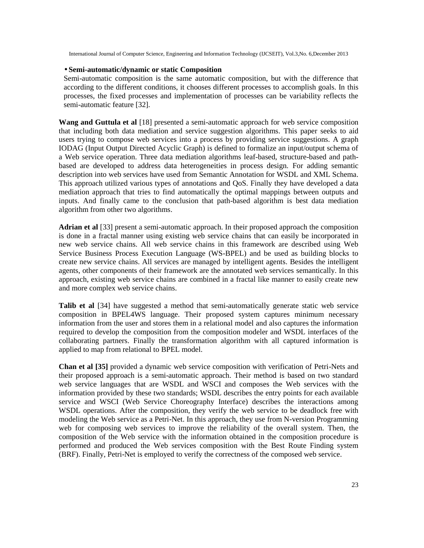#### • **Semi-automatic/dynamic or static Composition**

Semi-automatic composition is the same automatic composition, but with the difference that according to the different conditions, it chooses different processes to accomplish goals. In this processes, the fixed processes and implementation of processes can be variability reflects the semi-automatic feature [32].

**Wang and Guttula et al** [18] presented a semi-automatic approach for web service composition that including both data mediation and service suggestion algorithms. This paper seeks to aid users trying to compose web services into a process by providing service suggestions. A graph IODAG (Input Output Directed Acyclic Graph) is defined to formalize an input/output schema of a Web service operation. Three data mediation algorithms leaf-based, structure-based and pathbased are developed to address data heterogeneities in process design. For adding semantic description into web services have used from Semantic Annotation for WSDL and XML Schema. This approach utilized various types of annotations and QoS. Finally they have developed a data mediation approach that tries to find automatically the optimal mappings between outputs and inputs. And finally came to the conclusion that path-based algorithm is best data mediation algorithm from other two algorithms.

**Adrian et al** [33] present a semi-automatic approach. In their proposed approach the composition is done in a fractal manner using existing web service chains that can easily be incorporated in new web service chains. All web service chains in this framework are described using Web Service Business Process Execution Language (WS-BPEL) and be used as building blocks to create new service chains. All services are managed by intelligent agents. Besides the intelligent agents, other components of their framework are the annotated web services semantically. In this approach, existing web service chains are combined in a fractal like manner to easily create new and more complex web service chains.

**Talib et al** [34] have suggested a method that semi-automatically generate static web service composition in BPEL4WS language. Their proposed system captures minimum necessary information from the user and stores them in a relational model and also captures the information required to develop the composition from the composition modeler and WSDL interfaces of the collaborating partners. Finally the transformation algorithm with all captured information is applied to map from relational to BPEL model.

**Chan et al [35]** provided a dynamic web service composition with verification of Petri-Nets and their proposed approach is a semi-automatic approach. Their method is based on two standard web service languages that are WSDL and WSCI and composes the Web services with the information provided by these two standards; WSDL describes the entry points for each available service and WSCI (Web Service Choreography Interface) describes the interactions among WSDL operations. After the composition, they verify the web service to be deadlock free with modeling the Web service as a Petri-Net. In this approach, they use from N-version Programming web for composing web services to improve the reliability of the overall system. Then, the composition of the Web service with the information obtained in the composition procedure is performed and produced the Web services composition with the Best Route Finding system (BRF). Finally, Petri-Net is employed to verify the correctness of the composed web service.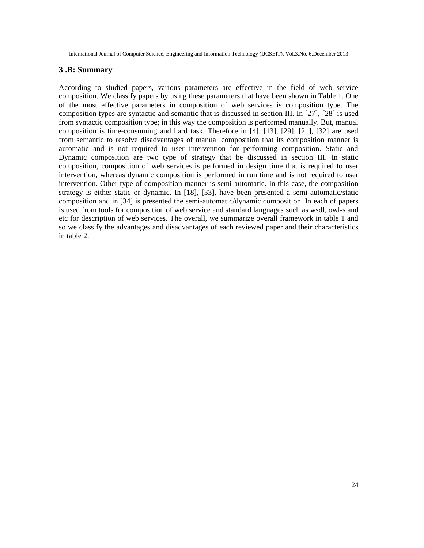#### **3 .B: Summary**

According to studied papers, various parameters are effective in the field of web service composition. We classify papers by using these parameters that have been shown in Table 1. One of the most effective parameters in composition of web services is composition type. The composition types are syntactic and semantic that is discussed in section III. In [27], [28] is used from syntactic composition type; in this way the composition is performed manually. But, manual composition is time-consuming and hard task. Therefore in [4], [13], [29], [21], [32] are used from semantic to resolve disadvantages of manual composition that its composition manner is automatic and is not required to user intervention for performing composition. Static and Dynamic composition are two type of strategy that be discussed in section III. In static composition, composition of web services is performed in design time that is required to user intervention, whereas dynamic composition is performed in run time and is not required to user intervention. Other type of composition manner is semi-automatic. In this case, the composition strategy is either static or dynamic. In [18], [33], have been presented a semi-automatic/static composition and in [34] is presented the semi-automatic/dynamic composition. In each of papers is used from tools for composition of web service and standard languages such as wsdl, owl-s and etc for description of web services. The overall, we summarize overall framework in table 1 and so we classify the advantages and disadvantages of each reviewed paper and their characteristics in table 2.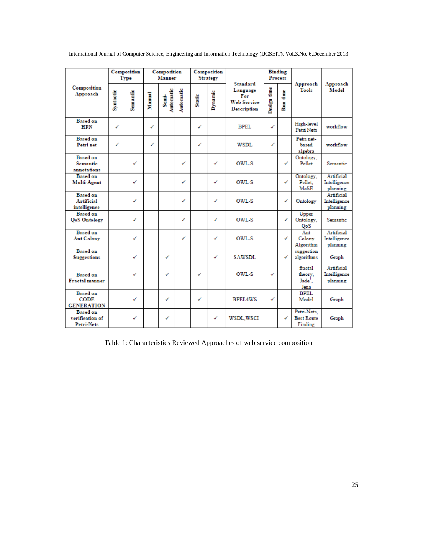| Composition<br>Approach                              | Composition<br>Type |          | Composition<br>Manner |                    | Composition<br><b>Strategy</b> |        |         | Binding<br>Process                                                             |                |                  |                                                   |                                        |
|------------------------------------------------------|---------------------|----------|-----------------------|--------------------|--------------------------------|--------|---------|--------------------------------------------------------------------------------|----------------|------------------|---------------------------------------------------|----------------------------------------|
|                                                      | Syntactic           | Semantic | Manual                | Seni-<br>Automatic | Automatic                      | Static | Dynamic | <b>Standard</b><br>Language<br>For<br><b>Web Service</b><br><b>Description</b> | time<br>Design | time<br>Run<br>K | Approach<br>Tools                                 | Approach<br>Model                      |
| <b>Based on</b><br><b>HPN</b>                        | ✓                   |          | ✓                     |                    |                                | ✓      |         | BPEL.                                                                          | ✓              |                  | High-level<br>Petri Nets                          | workflow                               |
| <b>Based on</b><br>Petri net                         | ✓                   |          | ✓                     |                    |                                | ✓      |         | <b>WSDL</b>                                                                    | ✓              |                  | Petri net-<br>based<br>algebra                    | workflow                               |
| <b>Based on</b><br>Semantic<br>annotations           |                     | ✓        |                       |                    | ✓                              |        | ✓       | <b>OWL-S</b>                                                                   |                | ✓                | Ontology,<br>Pellet                               | Semantic                               |
| <b>Based on</b><br>Multi-Agent                       |                     | ✓        |                       |                    | ✓                              |        | ✓       | OWL-S                                                                          |                | ✔                | Ontology,<br>Pellet.<br>MaSE                      | Artificial<br>Intelligence<br>planning |
| <b>Based on</b><br><b>Artificial</b><br>intelligence |                     | ✓        |                       |                    | ✓                              |        | ✓       | OWL-S                                                                          |                | ✓                | Ontology                                          | Artificial<br>Intelligence<br>planning |
| <b>Based on</b><br><b>QoS Ontology</b>               |                     | ✓        |                       |                    | ✓                              |        | ✓       | OWL-S                                                                          |                | ✓                | Upper<br>Ontology,<br>QoS                         | Semantic                               |
| <b>Based on</b><br><b>Ant Colony</b>                 |                     | ✓        |                       |                    | ✓                              |        | ✓       | <b>OWL-S</b>                                                                   |                | ✓                | Ant<br>Colony<br>Algorithm                        | Artificial<br>Intelligence<br>planning |
| <b>Based on</b><br><b>Suggestions</b>                |                     | ✓        |                       | ✓                  |                                |        | ✓       | <b>SAWSDL</b>                                                                  |                | ✔                | suggestion<br>algorithms                          | Graph                                  |
| <b>Based</b> on<br><b>Fractal manner</b>             |                     | ✓        |                       | ✓                  |                                | ✓      |         | OWL-S                                                                          | ✓              |                  | fractal<br>theory.<br>Jade <sup>1</sup> ,<br>Jena | Artificial<br>Intelligence<br>planning |
| <b>Based</b> on<br><b>CODE</b><br><b>GENERATION</b>  |                     | ✓        |                       | ✓                  |                                | ✓      |         | <b>BPEL4WS</b>                                                                 | ✓              |                  | <b>BPEL</b><br>Model                              | Graph                                  |
| <b>Based on</b><br>verification of<br>Petri-Nets     |                     | ✓        |                       | ✓                  |                                |        | ✔       | WSDL, WSCI                                                                     |                | ✔                | Petri-Nets.<br><b>Best Route</b><br>Finding       | Graph                                  |

Table 1: Characteristics Reviewed Approaches of web service composition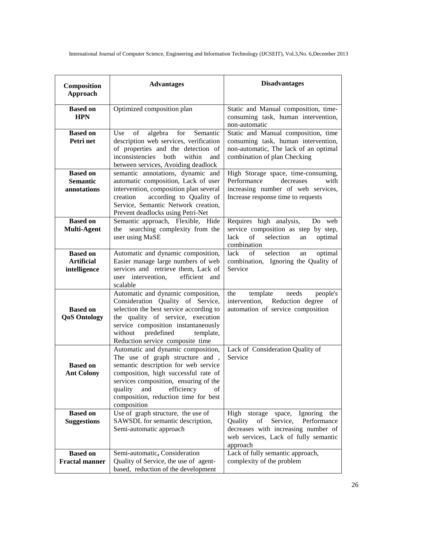| Composition<br>Approach                              | <b>Advantages</b>                                                                                                                                                                                                                                                                           | <b>Disadvantages</b>                                                                                                                                                             |  |  |
|------------------------------------------------------|---------------------------------------------------------------------------------------------------------------------------------------------------------------------------------------------------------------------------------------------------------------------------------------------|----------------------------------------------------------------------------------------------------------------------------------------------------------------------------------|--|--|
| <b>Based on</b><br><b>HPN</b>                        | Optimized composition plan                                                                                                                                                                                                                                                                  | Static and Manual composition, time-<br>consuming task, human intervention,<br>non-automatic                                                                                     |  |  |
| <b>Based on</b><br>Petri net                         | algebra<br>Use<br>of<br>for<br>Semantic<br>description web services, verification<br>of properties and the detection of<br>inconsistencies both<br>within<br>and<br>between services, Avoiding deadlock                                                                                     | Static and Manual composition, time<br>consuming task, human intervention,<br>non-automatic, The lack of an optimal<br>combination of plan Checking                              |  |  |
| <b>Based on</b><br><b>Semantic</b><br>annotations    | semantic annotations, dynamic and<br>automatic composition, Lack of user<br>intervention, composition plan several<br>according to Quality of<br>creation<br>Service, Semantic Network creation,<br>Prevent deadlocks using Petri-Net                                                       | High Storage space, time-consuming,<br>decreases<br>Performance<br>with<br>increasing number of web services,<br>Increase response time to requests                              |  |  |
| <b>Based on</b><br><b>Multi-Agent</b>                | Semantic approach, Flexible, Hide<br>searching complexity from the<br>the<br>user using MaSE                                                                                                                                                                                                | Requires high analysis,<br>Do web<br>service composition as step by step,<br>selection<br>lack<br>of<br>optimal<br>an<br>combination                                             |  |  |
| <b>Based on</b><br><b>Artificial</b><br>intelligence | Automatic and dynamic composition,<br>Easier manage large numbers of web<br>services and retrieve them, Lack of<br>user intervention,<br>efficient and<br>scalable                                                                                                                          | selection<br>lack<br>of<br>optimal<br>an<br>combination, Ignoring the Quality of<br>Service                                                                                      |  |  |
| <b>Based on</b><br><b>QoS Ontology</b>               | Automatic and dynamic composition,<br>Consideration Quality of Service,<br>selection the best service according to<br>the quality of service, execution<br>service composition instantaneously<br>predefined<br>without<br>template,<br>Reduction service composite time                    | the<br>template<br>needs<br>people's<br>Reduction degree<br>intervention,<br>-of<br>automation of service composition                                                            |  |  |
| <b>Based on</b><br><b>Ant Colony</b>                 | Automatic and dynamic composition,<br>The use of graph structure and,<br>semantic description for web service<br>composition, high successful rate of<br>services composition, ensuring of the<br>and<br>efficiency<br>quality<br>оf<br>composition, reduction time for best<br>composition | Lack of Consideration Quality of<br>Service                                                                                                                                      |  |  |
| <b>Based on</b><br><b>Suggestions</b>                | Use of graph structure, the use of<br>SAWSDL for semantic description,<br>Semi-automatic approach                                                                                                                                                                                           | High<br>storage<br>Ignoring the<br>space,<br>Quality<br>of<br>Service,<br>Performance<br>decreases with increasing number of<br>web services, Lack of fully semantic<br>approach |  |  |
| <b>Based on</b><br><b>Fractal manner</b>             | Semi-automatic, Consideration<br>Quality of Service, the use of agent-<br>based, reduction of the development                                                                                                                                                                               | Lack of fully semantic approach,<br>complexity of the problem                                                                                                                    |  |  |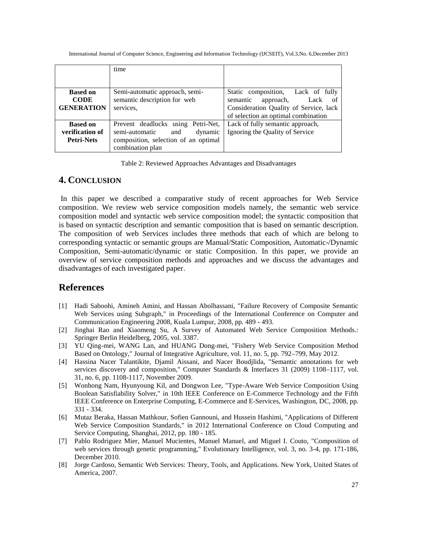|                   | time                                 |                                        |  |  |
|-------------------|--------------------------------------|----------------------------------------|--|--|
|                   |                                      |                                        |  |  |
| <b>Based on</b>   | Semi-automatic approach, semi-       | Static composition, Lack of fully      |  |  |
| <b>CODE</b>       | semantic description for web         | semantic approach,<br>Lack<br>of       |  |  |
| <b>GENERATION</b> | services,                            | Consideration Quality of Service, lack |  |  |
|                   |                                      | of selection an optimal combination    |  |  |
| <b>Based on</b>   | Prevent deadlocks using Petri-Net,   | Lack of fully semantic approach,       |  |  |
| verification of   | semi-automatic<br>dynamic<br>and     | Ignoring the Quality of Service        |  |  |
| <b>Petri-Nets</b> | composition, selection of an optimal |                                        |  |  |
|                   | combination plan                     |                                        |  |  |

| Table 2: Reviewed Approaches Advantages and Disadvantages |  |  |
|-----------------------------------------------------------|--|--|
|                                                           |  |  |

# **4. CONCLUSION**

In this paper we described a comparative study of recent approaches for Web Service composition. We review web service composition models namely, the semantic web service composition model and syntactic web service composition model; the syntactic composition that is based on syntactic description and semantic composition that is based on semantic description. The composition of web Services includes three methods that each of which are belong to corresponding syntactic or semantic groups are Manual/Static Composition, Automatic-/Dynamic Composition, Semi-automatic/dynamic or static Composition. In this paper, we provide an overview of service composition methods and approaches and we discuss the advantages and disadvantages of each investigated paper.

# **References**

- [1] Hadi Saboohi, Amineh Amini, and Hassan Abolhassani, "Failure Recovery of Composite Semantic Web Services using Subgraph," in Proceedings of the International Conference on Computer and Communication Engineering 2008, Kuala Lumpur, 2008, pp. 489 - 493.
- [2] Jinghai Rao and Xiaomeng Su, A Survey of Automated Web Service Composition Methods.: Springer Berlin Heidelberg, 2005, vol. 3387.
- [3] YU Qing-mei, WANG Lan, and HUANG Dong-mei, "Fishery Web Service Composition Method Based on Ontology," Journal of Integrative Agriculture, vol. 11, no. 5, pp. 792–799, May 2012.
- [4] Hassina Nacer Talantikite, Djamil Aissani, and Nacer Boudjlida, "Semantic annotations for web services discovery and composition," Computer Standards & Interfaces 31 (2009) 1108–1117, vol. 31, no. 6, pp. 1108-1117, November 2009.
- [5] Wonhong Nam, Hyunyoung Kil, and Dongwon Lee, "Type-Aware Web Service Composition Using Boolean Satisfiability Solver," in 10th IEEE Conference on E-Commerce Technology and the Fifth IEEE Conference on Enterprise Computing, E-Commerce and E-Services, Washington, DC, 2008, pp. 331 - 334.
- [6] Mutaz Beraka, Hassan Mathkour, Sofien Gannouni, and Hussein Hashimi, "Applications of Different Web Service Composition Standards," in 2012 International Conference on Cloud Computing and Service Computing, Shanghai, 2012, pp. 180 - 185.
- [7] Pablo Rodriguez Mier, Manuel Mucientes, Manuel Manuel, and Miguel I. Couto, "Composition of web services through genetic programming," Evolutionary Intelligence, vol. 3, no. 3-4, pp. 171-186, December 2010.
- [8] Jorge Cardoso, Semantic Web Services: Theory, Tools, and Applications. New York, United States of America, 2007.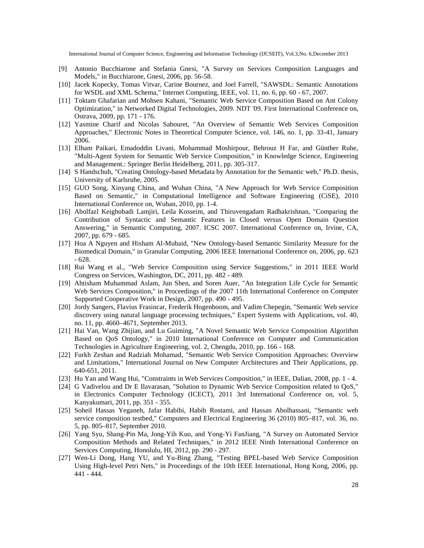- [9] Antonio Bucchiarone and Stefania Gnesi, "A Survey on Services Composition Languages and Models," in Bucchiarone, Gnesi, 2006, pp. 56-58.
- [10] Jacek Kopecky, Tomas Vitvar, Carine Bournez, and Joel Farrell, "SAWSDL: Semantic Annotations for WSDL and XML Schema," Internet Computing, IEEE, vol. 11, no. 6, pp. 60 - 67, 2007.
- [11] Toktam Ghafarian and Mohsen Kahani, "Semantic Web Service Composition Based on Ant Colony Optimization," in Networked Digital Technologies, 2009. NDT '09. First International Conference on, Ostrava, 2009, pp. 171 - 176.
- [12] Yasmine Charif and Nicolas Sabouret, "An Overview of Semantic Web Services Composition Approaches," Electronic Notes in Theoretical Computer Science, vol. 146, no. 1, pp. 33-41, January 2006.
- [13] Elham Paikari, Emadoddin Livani, Mohammad Moshirpour, Behrouz H Far, and Günther Ruhe, "Multi-Agent System for Semantic Web Service Composition," in Knowledge Science, Engineering and Management.: Springer Berlin Heidelberg, 2011, pp. 305-317.
- [14] S Handschuh, "Creating Ontology-based Metadata by Annotation for the Semantic web," Ph.D. thesis, University of Karlsruhe, 2005.
- [15] GUO Song, Xinyang China, and Wuhan China, "A New Approach for Web Service Composition Based on Semantic," in Computational Intelligence and Software Engineering (CiSE), 2010 International Conference on, Wuhan, 2010, pp. 1-4.
- [16] Abolfazl Keighobadi Lamjiri, Leila Kosseim, and Thiruvengadam Radhakrishnan, "Comparing the Contribution of Syntactic and Semantic Features in Closed versus Open Domain Question Answering," in Semantic Computing, 2007. ICSC 2007. International Conference on, Irvine, CA, 2007, pp. 679 - 685.
- [17] Hoa A Nguyen and Hisham Al-Mubaid, "New Ontology-based Semantic Similarity Measure for the Biomedical Domain," in Granular Computing, 2006 IEEE International Conference on, 2006, pp. 623 - 628.
- [18] Rui Wang et al., "Web Service Composition using Service Suggestions," in 2011 IEEE World Congress on Services, Washington, DC, 2011, pp. 482 - 489.
- [19] Ahtisham Muhammad Aslam, Jun Shen, and Soren Auer, "An Integration Life Cycle for Semantic Web Services Composition," in Proceedings of the 2007 11th International Conference on Computer Supported Cooperative Work in Design, 2007, pp. 490 - 495.
- [20] Jordy Sangers, Flavius Frasincar, Frederik Hogenboom, and Vadim Chepegin, "Semantic Web service discovery using natural language processing techniques," Expert Systems with Applications, vol. 40, no. 11, pp. 4660–4671, September 2013.
- [21] Hai Van, Wang Zhijian, and Lu Guiming, "A Novel Semantic Web Service Composition Algorithm Based on QoS Ontology," in 2010 International Conference on Computer and Communication Technologies in Agriculture Engineering, vol. 2, Chengdu, 2010, pp. 166 - 168.
- [22] Furkh Zeshan and Radziah Mohamad, "Semantic Web Service Composition Approaches: Overview and Limitations," International Journal on New Computer Architectures and Their Applications, pp. 640-651, 2011.
- [23] Hu Yan and Wang Hui, "Constraints in Web Services Composition," in IEEE, Dalian, 2008, pp. 1 4.
- [24] G Vadivelou and Dr E Ilavarasan, "Solution to Dynamic Web Service Composition related to QoS," in Electronics Computer Technology (ICECT), 2011 3rd International Conference on, vol. 5, Kanyakumari, 2011, pp. 351 - 355.
- [25] Soheil Hassas Yeganeh, Jafar Habibi, Habib Rostami, and Hassan Abolhassani, "Semantic web service composition testbed," Computers and Electrical Engineering 36 (2010) 805–817, vol. 36, no. 5, pp. 805–817, September 2010.
- [26] Yang Syu, Shang-Pin Ma, Jong-Yih Kuo, and Yong-Yi FanJiang, "A Survey on Automated Service Composition Methods and Related Techniques," in 2012 IEEE Ninth International Conference on Services Computing, Honolulu, HI, 2012, pp. 290 - 297.
- [27] Wen-Li Dong, Hang YU, and Yu-Bing Zhang, "Testing BPEL-based Web Service Composition Using High-level Petri Nets," in Proceedings of the 10th IEEE International, Hong Kong, 2006, pp. 441 - 444.